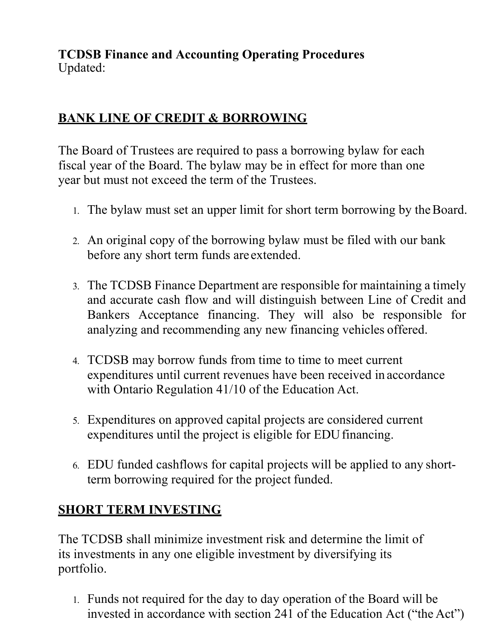**TCDSB Finance and Accounting Operating Procedures** Updated:

## **BANK LINE OF CREDIT & BORROWING**

The Board of Trustees are required to pass a borrowing bylaw for each fiscal year of the Board. The bylaw may be in effect for more than one year but must not exceed the term of the Trustees.

- 1. The bylaw must set an upper limit for short term borrowing by theBoard.
- 2. An original copy of the borrowing bylaw must be filed with our bank before any short term funds are extended.
- 3. The TCDSB Finance Department are responsible for maintaining a timely and accurate cash flow and will distinguish between Line of Credit and Bankers Acceptance financing. They will also be responsible for analyzing and recommending any new financing vehicles offered.
- 4. TCDSB may borrow funds from time to time to meet current expenditures until current revenues have been received in accordance with Ontario Regulation 41/10 of the Education Act.
- 5. Expenditures on approved capital projects are considered current expenditures until the project is eligible for EDU financing.
- 6. EDU funded cashflows for capital projects will be applied to any shortterm borrowing required for the project funded.

## **SHORT TERM INVESTING**

The TCDSB shall minimize investment risk and determine the limit of its investments in any one eligible investment by diversifying its portfolio.

1. Funds not required for the day to day operation of the Board will be invested in accordance with section 241 of the Education Act ("the Act")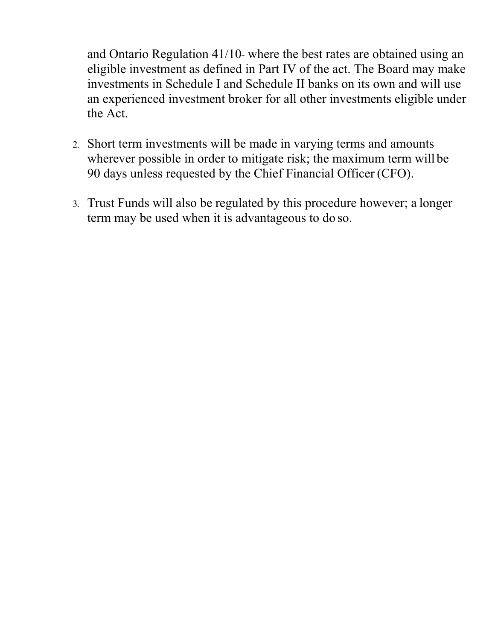and Ontario Regulation 41/10 where the best rates are obtained using an eligible investment as defined in Part IV of the act. The Board may make investments in Schedule I and Schedule II banks on its own and will use an experienced investment broker for all other investments eligible under the Act.

- 2. Short term investments will be made in varying terms and amounts wherever possible in order to mitigate risk; the maximum term will be 90 days unless requested by the Chief Financial Officer (CFO).
- 3. Trust Funds will also be regulated by this procedure however; a longer term may be used when it is advantageous to do so.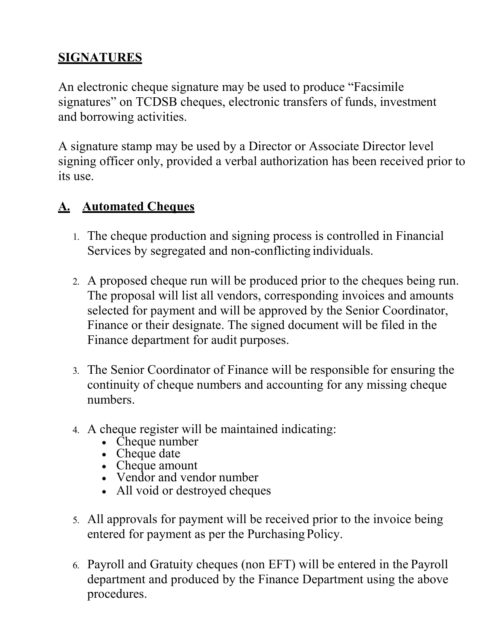# **SIGNATURES**

An electronic cheque signature may be used to produce "Facsimile signatures" on TCDSB cheques, electronic transfers of funds, investment and borrowing activities.

A signature stamp may be used by a Director or Associate Director level signing officer only, provided a verbal authorization has been received prior to its use.

# **A. Automated Cheques**

- 1. The cheque production and signing process is controlled in Financial Services by segregated and non-conflicting individuals.
- 2. A proposed cheque run will be produced prior to the cheques being run. The proposal will list all vendors, corresponding invoices and amounts selected for payment and will be approved by the Senior Coordinator, Finance or their designate. The signed document will be filed in the Finance department for audit purposes.
- 3. The Senior Coordinator of Finance will be responsible for ensuring the continuity of cheque numbers and accounting for any missing cheque numbers.
- 4. A cheque register will be maintained indicating:
	- Cheque number
	- Cheque date
	- Cheque amount
	- Vendor and vendor number
	- All void or destroyed cheques
- 5. All approvals for payment will be received prior to the invoice being entered for payment as per the Purchasing Policy.
- 6. Payroll and Gratuity cheques (non EFT) will be entered in the Payroll department and produced by the Finance Department using the above procedures.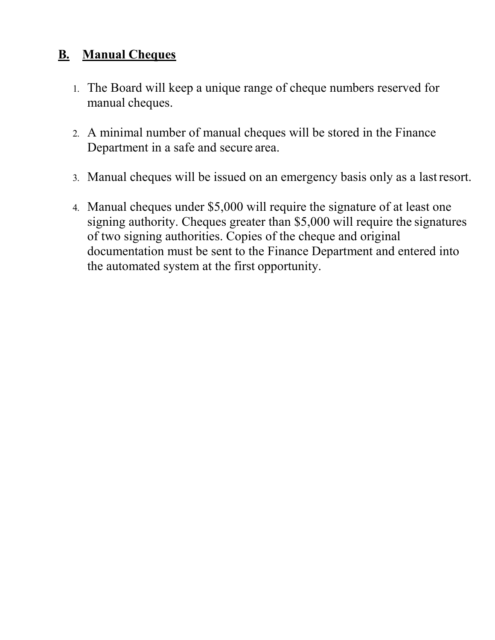# **B. Manual Cheques**

- 1. The Board will keep a unique range of cheque numbers reserved for manual cheques.
- 2. A minimal number of manual cheques will be stored in the Finance Department in a safe and secure area.
- 3. Manual cheques will be issued on an emergency basis only as a lastresort.
- 4. Manual cheques under \$5,000 will require the signature of at least one signing authority. Cheques greater than \$5,000 will require the signatures of two signing authorities. Copies of the cheque and original documentation must be sent to the Finance Department and entered into the automated system at the first opportunity.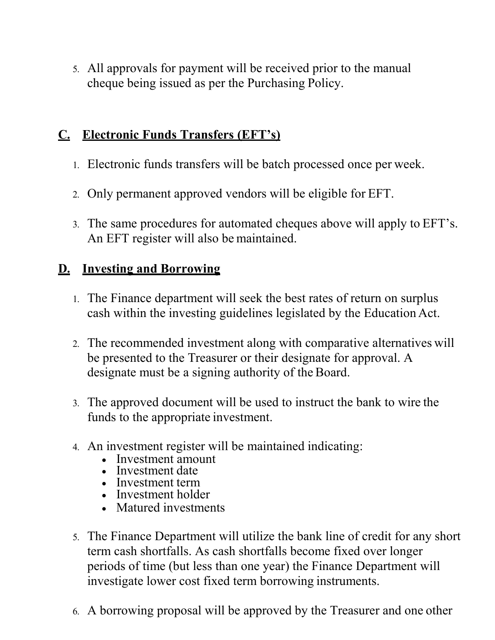5. All approvals for payment will be received prior to the manual cheque being issued as per the Purchasing Policy.

#### **C. Electronic Funds Transfers (EFT's)**

- 1. Electronic funds transfers will be batch processed once per week.
- 2. Only permanent approved vendors will be eligible for EFT.
- 3. The same procedures for automated cheques above will apply to EFT's. An EFT register will also be maintained.

## **D. Investing and Borrowing**

- 1. The Finance department will seek the best rates of return on surplus cash within the investing guidelines legislated by the Education Act.
- 2. The recommended investment along with comparative alternatives will be presented to the Treasurer or their designate for approval. A designate must be a signing authority of the Board.
- 3. The approved document will be used to instruct the bank to wire the funds to the appropriate investment.
- 4. An investment register will be maintained indicating:
	- Investment amount
	- Investment date
	- Investment term
	- Investment holder
	- Matured investments
- 5. The Finance Department will utilize the bank line of credit for any short term cash shortfalls. As cash shortfalls become fixed over longer periods of time (but less than one year) the Finance Department will investigate lower cost fixed term borrowing instruments.
- 6. A borrowing proposal will be approved by the Treasurer and one other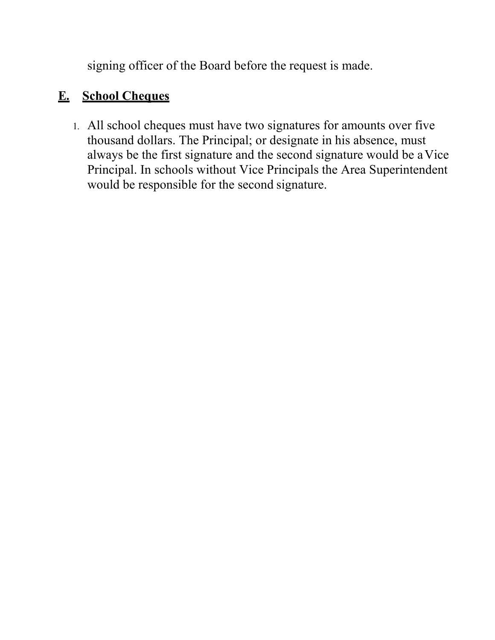signing officer of the Board before the request is made.

# **E. School Cheques**

1. All school cheques must have two signatures for amounts over five thousand dollars. The Principal; or designate in his absence, must always be the first signature and the second signature would be aVice Principal. In schools without Vice Principals the Area Superintendent would be responsible for the second signature.